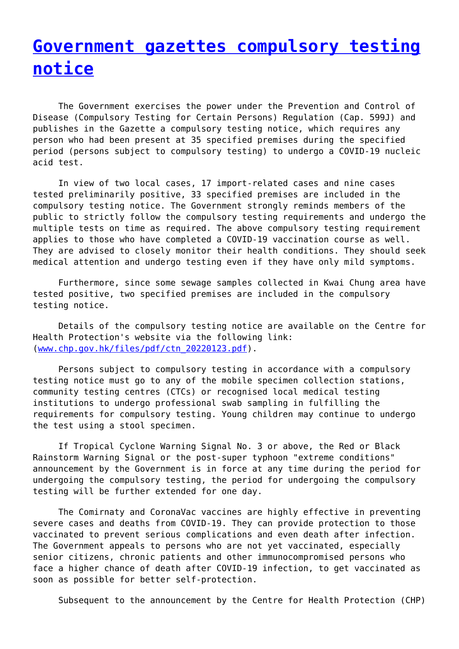## **[Government gazettes compulsory testing](http://www.government-world.com/government-gazettes-compulsory-testing-notice-226/) [notice](http://www.government-world.com/government-gazettes-compulsory-testing-notice-226/)**

 The Government exercises the power under the Prevention and Control of Disease (Compulsory Testing for Certain Persons) Regulation (Cap. 599J) and publishes in the Gazette a compulsory testing notice, which requires any person who had been present at 35 specified premises during the specified period (persons subject to compulsory testing) to undergo a COVID-19 nucleic acid test.

 In view of two local cases, 17 import-related cases and nine cases tested preliminarily positive, 33 specified premises are included in the compulsory testing notice. The Government strongly reminds members of the public to strictly follow the compulsory testing requirements and undergo the multiple tests on time as required. The above compulsory testing requirement applies to those who have completed a COVID-19 vaccination course as well. They are advised to closely monitor their health conditions. They should seek medical attention and undergo testing even if they have only mild symptoms.

 Furthermore, since some sewage samples collected in Kwai Chung area have tested positive, two specified premises are included in the compulsory testing notice.

 Details of the compulsory testing notice are available on the Centre for Health Protection's website via the following link: [\(www.chp.gov.hk/files/pdf/ctn\\_20220123.pdf\)](http://www.chp.gov.hk/files/pdf/ctn_20220123.pdf).

 Persons subject to compulsory testing in accordance with a compulsory testing notice must go to any of the mobile specimen collection stations, community testing centres (CTCs) or recognised local medical testing institutions to undergo professional swab sampling in fulfilling the requirements for compulsory testing. Young children may continue to undergo the test using a stool specimen.

 If Tropical Cyclone Warning Signal No. 3 or above, the Red or Black Rainstorm Warning Signal or the post-super typhoon "extreme conditions" announcement by the Government is in force at any time during the period for undergoing the compulsory testing, the period for undergoing the compulsory testing will be further extended for one day.

 The Comirnaty and CoronaVac vaccines are highly effective in preventing severe cases and deaths from COVID-19. They can provide protection to those vaccinated to prevent serious complications and even death after infection. The Government appeals to persons who are not yet vaccinated, especially senior citizens, chronic patients and other immunocompromised persons who face a higher chance of death after COVID-19 infection, to get vaccinated as soon as possible for better self-protection.

Subsequent to the announcement by the Centre for Health Protection (CHP)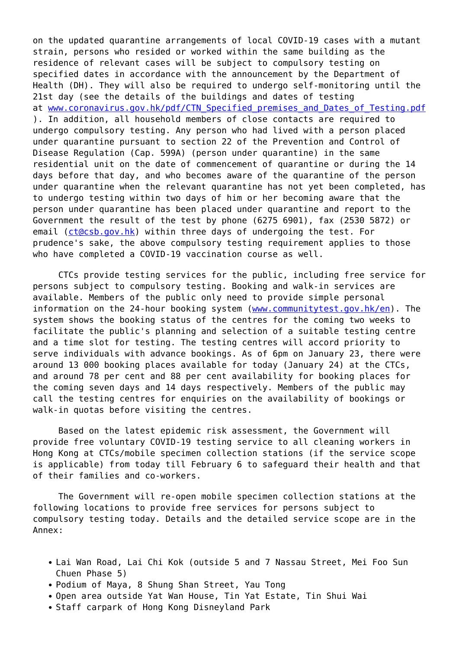on the updated quarantine arrangements of local COVID-19 cases with a mutant strain, persons who resided or worked within the same building as the residence of relevant cases will be subject to compulsory testing on specified dates in accordance with the announcement by the Department of Health (DH). They will also be required to undergo self-monitoring until the 21st day (see the details of the buildings and dates of testing at www.coronavirus.gov.hk/pdf/CTN Specified premises and Dates of Testing.pdf ). In addition, all household members of close contacts are required to undergo compulsory testing. Any person who had lived with a person placed under quarantine pursuant to section 22 of the Prevention and Control of Disease Regulation (Cap. 599A) (person under quarantine) in the same residential unit on the date of commencement of quarantine or during the 14 days before that day, and who becomes aware of the quarantine of the person under quarantine when the relevant quarantine has not yet been completed, has to undergo testing within two days of him or her becoming aware that the person under quarantine has been placed under quarantine and report to the Government the result of the test by phone (6275 6901), fax (2530 5872) or email ([ct@csb.gov.hk\)](mailto:ct@csb.gov.hk) within three days of undergoing the test. For prudence's sake, the above compulsory testing requirement applies to those who have completed a COVID-19 vaccination course as well.

 CTCs provide testing services for the public, including free service for persons subject to compulsory testing. Booking and walk-in services are available. Members of the public only need to provide simple personal information on the 24-hour booking system [\(www.communitytest.gov.hk/en](http://www.communitytest.gov.hk/en)). The system shows the booking status of the centres for the coming two weeks to facilitate the public's planning and selection of a suitable testing centre and a time slot for testing. The testing centres will accord priority to serve individuals with advance bookings. As of 6pm on January 23, there were around 13 000 booking places available for today (January 24) at the CTCs, and around 78 per cent and 88 per cent availability for booking places for the coming seven days and 14 days respectively. Members of the public may call the testing centres for enquiries on the availability of bookings or walk-in quotas before visiting the centres.

 Based on the latest epidemic risk assessment, the Government will provide free voluntary COVID-19 testing service to all cleaning workers in Hong Kong at CTCs/mobile specimen collection stations (if the service scope is applicable) from today till February 6 to safeguard their health and that of their families and co-workers.

 The Government will re-open mobile specimen collection stations at the following locations to provide free services for persons subject to compulsory testing today. Details and the detailed service scope are in the Annex:

- Lai Wan Road, Lai Chi Kok (outside 5 and 7 Nassau Street, Mei Foo Sun Chuen Phase 5)
- Podium of Maya, 8 Shung Shan Street, Yau Tong
- Open area outside Yat Wan House, Tin Yat Estate, Tin Shui Wai
- Staff carpark of Hong Kong Disneyland Park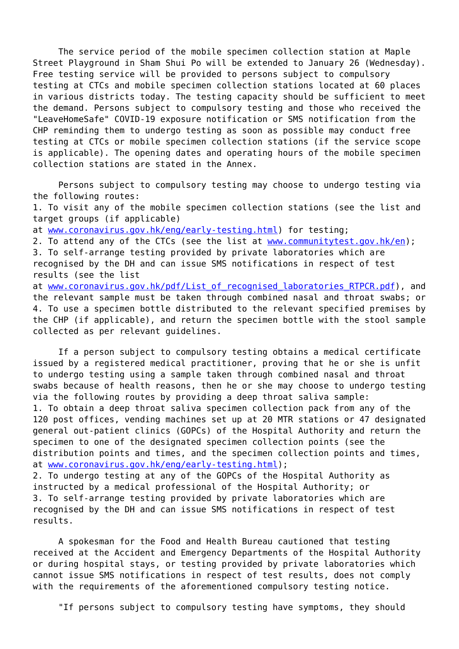The service period of the mobile specimen collection station at Maple Street Playground in Sham Shui Po will be extended to January 26 (Wednesday). Free testing service will be provided to persons subject to compulsory testing at CTCs and mobile specimen collection stations located at 60 places in various districts today. The testing capacity should be sufficient to meet the demand. Persons subject to compulsory testing and those who received the "LeaveHomeSafe" COVID-19 exposure notification or SMS notification from the CHP reminding them to undergo testing as soon as possible may conduct free testing at CTCs or mobile specimen collection stations (if the service scope is applicable). The opening dates and operating hours of the mobile specimen collection stations are stated in the Annex.

 Persons subject to compulsory testing may choose to undergo testing via the following routes:

1. To visit any of the mobile specimen collection stations (see the list and target groups (if applicable)

at [www.coronavirus.gov.hk/eng/early-testing.html](http://www.coronavirus.gov.hk/eng/early-testing.html)) for testing;

2. To attend any of the CTCs (see the list at [www.communitytest.gov.hk/en\)](http://www.communitytest.gov.hk/en); 3. To self-arrange testing provided by private laboratories which are recognised by the DH and can issue SMS notifications in respect of test results (see the list

at www.coronavirus.gov.hk/pdf/List of recognised laboratories RTPCR.pdf), and the relevant sample must be taken through combined nasal and throat swabs; or 4. To use a specimen bottle distributed to the relevant specified premises by the CHP (if applicable), and return the specimen bottle with the stool sample collected as per relevant guidelines.

 If a person subject to compulsory testing obtains a medical certificate issued by a registered medical practitioner, proving that he or she is unfit to undergo testing using a sample taken through combined nasal and throat swabs because of health reasons, then he or she may choose to undergo testing via the following routes by providing a deep throat saliva sample: 1. To obtain a deep throat saliva specimen collection pack from any of the 120 post offices, vending machines set up at 20 MTR stations or 47 designated general out-patient clinics (GOPCs) of the Hospital Authority and return the specimen to one of the designated specimen collection points (see the distribution points and times, and the specimen collection points and times, at [www.coronavirus.gov.hk/eng/early-testing.html](http://www.coronavirus.gov.hk/eng/early-testing.html)); 2. To undergo testing at any of the GOPCs of the Hospital Authority as instructed by a medical professional of the Hospital Authority; or 3. To self-arrange testing provided by private laboratories which are recognised by the DH and can issue SMS notifications in respect of test

results.

 A spokesman for the Food and Health Bureau cautioned that testing received at the Accident and Emergency Departments of the Hospital Authority or during hospital stays, or testing provided by private laboratories which cannot issue SMS notifications in respect of test results, does not comply with the requirements of the aforementioned compulsory testing notice.

"If persons subject to compulsory testing have symptoms, they should